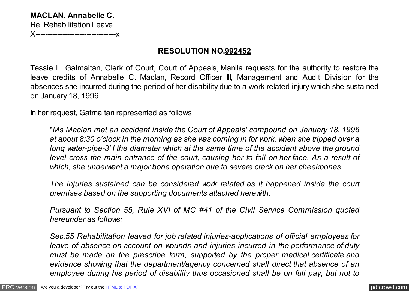**MACLAN, Annabelle C.** Re: Rehabilitation Leave **X**-----------------------------

## **RESOLUTION NO.992452**

Tessie L. Gatmaitan, Clerk of Court, Court of Appeals, Manila requests for the authority to restore the leave credits of Annabelle C. Maclan, Record Officer III, Management and Audit Division for the absences she incurred during the period of her disability due to a work related injury which she sustained on January 18, 1996.

In her request, Gatmaitan represented as follows:

"*Ms Maclan met an accident inside the Court of Appeals' compound on January 18, 1996 at about 8:30 o'clock in the morning as she was coming in for work, when she tripped over a long water-pipe-3' I the diameter which at the same time of the accident above the ground level cross the main entrance of the court, causing her to fall on her face. As a result of which, she underwent a major bone operation due to severe crack on her cheekbones*

*The injuries sustained can be considered work related as it happened inside the court premises based on the supporting documents attached herewith.*

*Pursuant to Section 55, Rule XVI of MC #41 of the Civil Service Commission quoted hereunder as follows:*

*Sec.55 Rehabilitation leaved for job related injuries-applications of official employees for leave of absence on account on wounds and injuries incurred in the performance of duty must be made on the prescribe form, supported by the proper medical certificate and evidence showing that the department/agency concerned shall direct that absence of an employee during his period of disability thus occasioned shall be on full pay, but not to*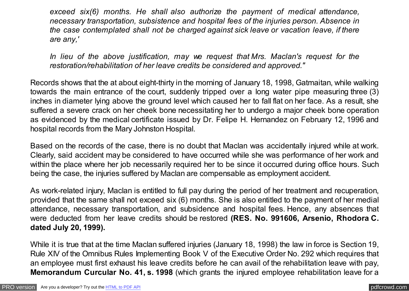*exceed six(6) months. He shall also authorize the payment of medical attendance, necessary transportation, subsistence and hospital fees of the injuries person. Absence in the case contemplated shall not be charged against sick leave or vacation leave, if there are any,'*

*In lieu of the above justification, may we request that Mrs. Maclan's request for the restoration/rehabilitation of her leave credits be considered and approved."*

Records shows that the at about eight-thirty in the morning of January 18, 1998, Gatmaitan, while walking towards the main entrance of the court, suddenly tripped over a long water pipe measuring three (3) inches in diameter lying above the ground level which caused her to fall flat on her face. As a result, she suffered a severe crack on her cheek bone necessitating her to undergo a major cheek bone operation as evidenced by the medical certificate issued by Dr. Felipe H. Hernandez on February 12, 1996 and hospital records from the Mary Johnston Hospital.

Based on the records of the case, there is no doubt that Maclan was accidentally injured while at work. Clearly, said accident may be considered to have occurred while she was performance of her work and within the place where her job necessarily required her to be since it occurred during office hours. Such being the case, the injuries suffered by Maclan are compensable as employment accident.

As work-related injury, Maclan is entitled to full pay during the period of her treatment and recuperation, provided that the same shall not exceed six (6) months. She is also entitled to the payment of her medial attendance, necessary transportation, and subsidence and hospital fees. Hence, any absences that were deducted from her leave credits should be restored **(RES. No. 991606, Arsenio, Rhodora C. dated July 20, 1999).**

While it is true that at the time Maclan suffered injuries (January 18, 1998) the law in force is Section 19, Rule XIV of the Omnibus Rules Implementing Book V of the Executive Order No. 292 which requires that an employee must first exhaust his leave credits before he can avail of the rehabilitation leave with pay, **Memorandum Curcular No. 41, s. 1998** (which grants the injured employee rehabilitation leave for a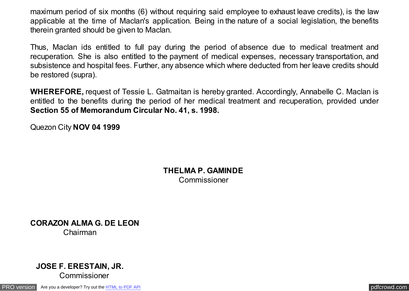maximum period of six months (6) without requiring said employee to exhaust leave credits), is the law applicable at the time of Maclan's application. Being in the nature of a social legislation, the benefits therein granted should be given to Maclan.

Thus, Maclan ids entitled to full pay during the period of absence due to medical treatment and recuperation. She is also entitled to the payment of medical expenses, necessary transportation, and subsistence and hospital fees. Further, any absence which where deducted from her leave credits should be restored (supra).

**WHEREFORE,** request of Tessie L. Gatmaitan is hereby granted. Accordingly, Annabelle C. Maclan is entitled to the benefits during the period of her medical treatment and recuperation, provided under **Section 55 of Memorandum Circular No. 41, s. 1998.**

Quezon City **NOV 04 1999**

**THELMA P. GAMINDE** Commissioner

**CORAZON ALMA G. DE LEON** Chairman

## **JOSE F. ERESTAIN, JR.** Commissioner

[PRO version](http://pdfcrowd.com/customize/) Are you a developer? Try out th[e HTML to PDF API](http://pdfcrowd.com/html-to-pdf-api/?ref=pdf) provided and the example of the HTML to PDF API [pdfcrowd.com](http://pdfcrowd.com)